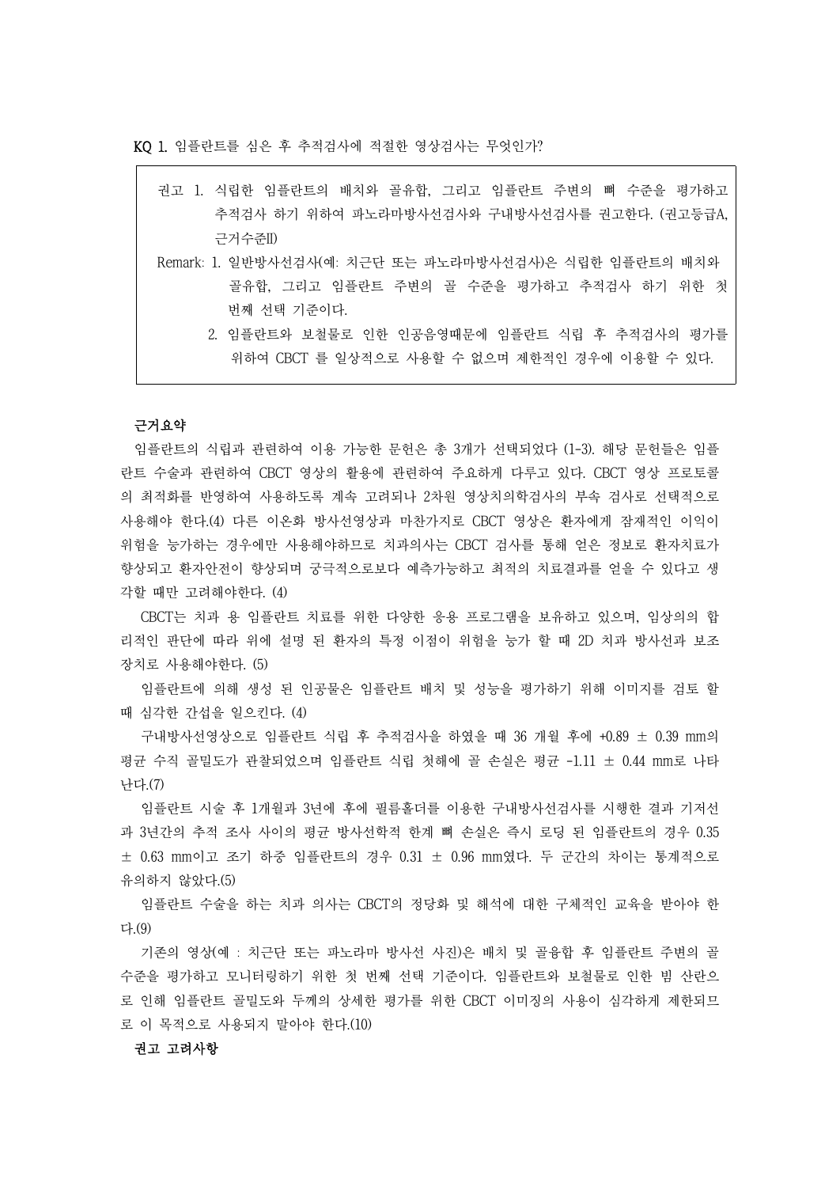KQ 1. 임플란트를 심은 후 추적검사에 적절한 영상검사는 무엇인가?

권고 1. 식립한 임플란트의 배치와 골유합, 그리고 임플란트 주변의 뼈 수준을 평가하고 추적검사 하기 위하여 파노라마방사선검사와 구내방사선검사를 권고한다. (권고등급A, 근거수준II) Remark: 1. 일반방사선검사(예: 치근단 또는 파노라마방사선검사)은 식립한 임플란트의 배치와 골유합, 그리고 임플란트 주변의 골 수준을 평가하고 추적검사 하기 위한 첫 .<br>1. 임플란트와 보철물로 인한 인공음영때문에 임플란트 식립 후 추적검사의 평가를<br>2. 임플란트와 보철물로 인한 인공음영때문에 임플란트 식립 후 추적검사의 평가를 위하여 CBCT 를 일상적으로 사용할 수 없으며 제한적인 경우에 이용할 수 있다. 근거요약

임플란트의 식립과 관련하여 이용 가능한 문헌은 총 3개가 선택되었다 (1-3). 해당 문헌들은 임플 란트 수술과 관련하여 CBCT 영상의 활용에 관련하여 주요하게 다루고 있다. CBCT 영상 프로토콜 의 최적화를 반영하여 사용하도록 계속 고려되나 2차원 영상치의학검사의 부속 검사로 선택적으로 사용해야 한다.(4) 다른 이온화 방사선영상과 마찬가지로 CBCT 영상은 환자에게 잠재적인 이익이 위험을 능가하는 경우에만 사용해야하므로 치과의사는 CBCT 검사를 통해 얻은 정보로 환자치료가 향상되고 환자안전이 향상되며 궁극적으로보다 예측가능하고 최적의 치료결과를 얻을 수 있다고 생 각할 때만 고려해야한다. (4)

CBCT는 치과 용 임플란트 치료를 위한 다양한 응용 프로그램을 보유하고 있으며, 임상의의 합 리적인 판단에 따라 위에 설명 된 환자의 특정 이점이 위험을 능가 할 때 2D 치과 방사선과 보조 장치로 사용해야한다. (5)

임플란트에 의해 생성 된 인공물은 임플란트 배치 및 성능을 평가하기 위해 이미지를 검토 할 때 심각한 간섭을 일으킨다. (4)

구내방사선영상으로 임플란트 식립 후 추적검사을 하였을 때 36 개월 후에 +0.89 ± 0.39 mm의 평균 수직 골밀도가 관찰되었으며 임플란트 식립 첫해에 골 손실은 평균 -1.11 ± 0.44 mm로 나타 난다.(7)

임플란트 시술 후 1개월과 3년에 후에 필름홀더를 이용한 구내방사선검사를 시행한 결과 기저선 과 3년간의 추적 조사 사이의 평균 방사선학적 한계 뼈 손실은 즉시 로딩 된 임플란트의 경우 0.35 ± 0.63 mm이고 조기 하중 임플란트의 경우 0.31 ± 0.96 mm였다. 두 군간의 차이는 통계적으로 유의하지 않았다.(5)

임플란트 수술을 하는 치과 의사는 CBCT의 정당화 및 해석에 대한 구체적인 교육을 받아야 한 다.(9)

기존의 영상(예 : 치근단 또는 파노라마 방사선 사진)은 배치 및 골융합 후 임플란트 주변의 골 수준을 평가하고 모니터링하기 위한 첫 번째 선택 기준이다. 임플란트와 보철물로 인한 빔 산란으 로 인해 임플란트 골밀도와 두께의 상세한 평가를 위한 CBCT 이미징의 사용이 심각하게 제한되므 로 이 목적으로 사용되지 말아야 한다.(10)

# 권고 고려사항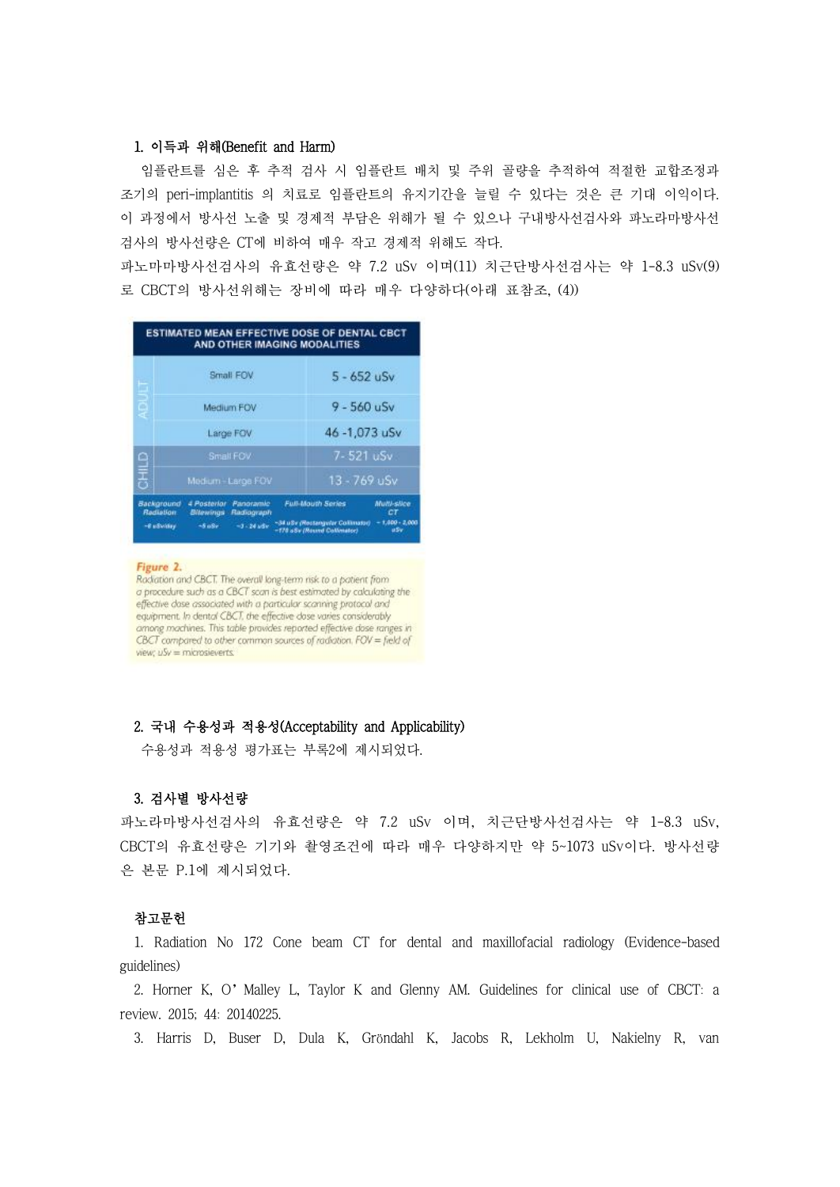# 1. 이득과 위해(Benefit and Harm)

임플란트를 심은 후 추적 검사 시 임플란트 배치 및 주위 골량을 추적하여 적절한 교합조정과 조기의 peri-implantitis 의 치료로 임플란트의 유지기간을 늘릴 수 있다는 것은 큰 기대 이익이다.<br>이 과정에서 방사선 노출 및 경제적 부담은 위해가 될 수 있으나 구내방사선검사와 파노라마방사선 검사의 방사선량은 CT에 비하여 매우 작고 경제적 위해도 작다. 파노마마방사선검사의 유효선량은 약 7.2 uSv 이며(11) 치근단방사선검사는 약 1-8.3 uSv(9)

로 CBCT의 방사선위해는 장비에 따라 매우 다양하다(아래 표참조, (4))

| Н                        | Small FOV                                        | $5 - 652$ uSv                                                  |                         |  |
|--------------------------|--------------------------------------------------|----------------------------------------------------------------|-------------------------|--|
| m<br>ą                   | Medium FOV                                       | $9 - 560$ uSv                                                  |                         |  |
| Large FOV                |                                                  | 46-1,073 uSv                                                   |                         |  |
|                          | Small FOV                                        |                                                                | 7-521 uSv               |  |
| 음<br>통                   | Medium-Large FOV                                 |                                                                | 13 - 769 uSv            |  |
| Background<br>Rediation: | 4 Posterior Panoramic<br>Bitewings<br>Radiograph | <b>Full-Mouth Series</b>                                       | Multi-silce<br>СT       |  |
| -8 admission             | $-1 - 24$ adv<br>$-5.08r$                        | ~34 uSv (Rectangular Collinator)<br>-178 aSv (Round Calimator) | $-1,000 - 2,000$<br>uSv |  |

### Figure 2.

Radiation and CBCT. The overall long-term risk to a patient from<br>a procedure such as a CBCT scan is best estimated by calculating the effective dase associated with a particular scanning protocol and<br>equipment. In dental CBCT, the effective dose varies considerably among machines. This table provides reported effective dase ranges in CBCT compared to other common sources of radiation. FOV = field of view;  $uSv =$  microsieverts.

# 2. 국내 수용성과 적용성(Acceptability and Applicability)

수용성과 적용성 평가표는 부록2에 제시되었다.

# 3. 검사별 방사선량

파노라마방사선검사의 유효선량은 약 7.2 uSv 이며, 치근단방사선검사는 약 1-8.3 uSv, CBCT의 유효선량은 기기와 촬영조건에 따라 매우 다양하지만 약 5~1073 uSv이다. 방사선량 은 본문 P.1에 제시되었다.

## 참고문헌

1. Radiation No 172 Cone beam CT for dental and maxillofacial radiology (Evidence-based guidelines)

2. Horner K, O'Malley L, Taylor K and Glenny AM. Guidelines for clinical use of CBCT: a review. 2015; 44: 20140225.

3. Harris D, Buser D, Dula K, Gröndahl K, Jacobs R, Lekholm U, Nakielny R, van